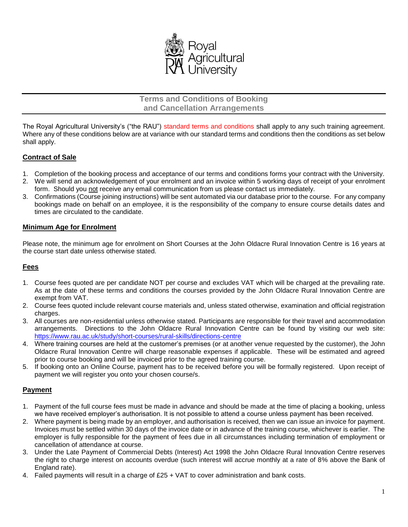

**Terms and Conditions of Booking and Cancellation Arrangements**

The Royal Agricultural University's ("the RAU") standard terms and conditions shall apply to any such training agreement. Where any of these conditions below are at variance with our standard terms and conditions then the conditions as set below shall apply.

# **Contract of Sale**

- 1. Completion of the booking process and acceptance of our terms and conditions forms your contract with the University.
- 2. We will send an acknowledgement of your enrolment and an invoice within 5 working days of receipt of your enrolment form. Should you not receive any email communication from us please contact us immediately.
- 3. Confirmations (Course joining instructions) will be sent automated via our database prior to the course. For any company bookings made on behalf on an employee, it is the responsibility of the company to ensure course details dates and times are circulated to the candidate.

### **Minimum Age for Enrolment**

Please note, the minimum age for enrolment on Short Courses at the John Oldacre Rural Innovation Centre is 16 years at the course start date unless otherwise stated.

### **Fees**

- 1. Course fees quoted are per candidate NOT per course and excludes VAT which will be charged at the prevailing rate. As at the date of these terms and conditions the courses provided by the John Oldacre Rural Innovation Centre are exempt from VAT.
- 2. Course fees quoted include relevant course materials and, unless stated otherwise, examination and official registration charges.
- 3. All courses are non-residential unless otherwise stated. Participants are responsible for their travel and accommodation arrangements. Directions to the John Oldacre Rural Innovation Centre can be found by visiting our web site: <https://www.rau.ac.uk/study/short-courses/rural-skills/directions-centre>
- 4. Where training courses are held at the customer's premises (or at another venue requested by the customer), the John Oldacre Rural Innovation Centre will charge reasonable expenses if applicable. These will be estimated and agreed prior to course booking and will be invoiced prior to the agreed training course.
- 5. If booking onto an Online Course, payment has to be received before you will be formally registered. Upon receipt of payment we will register you onto your chosen course/s.

### **Payment**

- 1. Payment of the full course fees must be made in advance and should be made at the time of placing a booking, unless we have received employer's authorisation. It is not possible to attend a course unless payment has been received.
- 2. Where payment is being made by an employer, and authorisation is received, then we can issue an invoice for payment. Invoices must be settled within 30 days of the invoice date or in advance of the training course, whichever is earlier. The employer is fully responsible for the payment of fees due in all circumstances including termination of employment or cancellation of attendance at course.
- 3. Under the Late Payment of Commercial Debts (Interest) Act 1998 the John Oldacre Rural Innovation Centre reserves the right to charge interest on accounts overdue (such interest will accrue monthly at a rate of 8% above the Bank of England rate).
- 4. Failed payments will result in a charge of £25 + VAT to cover administration and bank costs.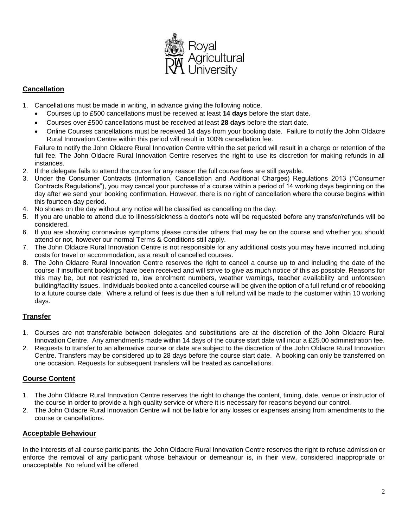

### **Cancellation**

- 1. Cancellations must be made in writing, in advance giving the following notice.
	- Courses up to £500 cancellations must be received at least **14 days** before the start date.
	- Courses over £500 cancellations must be received at least **28 days** before the start date.
	- Online Courses cancellations must be received 14 days from your booking date. Failure to notify the John Oldacre Rural Innovation Centre within this period will result in 100% cancellation fee.

Failure to notify the John Oldacre Rural Innovation Centre within the set period will result in a charge or retention of the full fee. The John Oldacre Rural Innovation Centre reserves the right to use its discretion for making refunds in all instances.

- 2. If the delegate fails to attend the course for any reason the full course fees are still payable.
- 3. Under the Consumer Contracts (Information, Cancellation and Additional Charges) Regulations 2013 ("Consumer Contracts Regulations"), you may cancel your purchase of a course within a period of 14 working days beginning on the day after we send your booking confirmation. However, there is no right of cancellation where the course begins within this fourteen-day period.
- 4. No shows on the day without any notice will be classified as cancelling on the day.
- 5. If you are unable to attend due to illness/sickness a doctor's note will be requested before any transfer/refunds will be considered.
- 6. If you are showing coronavirus symptoms please consider others that may be on the course and whether you should attend or not, however our normal Terms & Conditions still apply.
- 7. The John Oldacre Rural Innovation Centre is not responsible for any additional costs you may have incurred including costs for travel or accommodation, as a result of cancelled courses.
- 8. The John Oldacre Rural Innovation Centre reserves the right to cancel a course up to and including the date of the course if insufficient bookings have been received and will strive to give as much notice of this as possible. Reasons for this may be, but not restricted to, low enrolment numbers, weather warnings, teacher availability and unforeseen building/facility issues. Individuals booked onto a cancelled course will be given the option of a full refund or of rebooking to a future course date. Where a refund of fees is due then a full refund will be made to the customer within 10 working days.

# **Transfer**

- 1. Courses are not transferable between delegates and substitutions are at the discretion of the John Oldacre Rural Innovation Centre. Any amendments made within 14 days of the course start date will incur a £25.00 administration fee.
- 2. Requests to transfer to an alternative course or date are subject to the discretion of the John Oldacre Rural Innovation Centre. Transfers may be considered up to 28 days before the course start date. A booking can only be transferred on one occasion. Requests for subsequent transfers will be treated as cancellations.

# **Course Content**

- 1. The John Oldacre Rural Innovation Centre reserves the right to change the content, timing, date, venue or instructor of the course in order to provide a high quality service or where it is necessary for reasons beyond our control.
- 2. The John Oldacre Rural Innovation Centre will not be liable for any losses or expenses arising from amendments to the course or cancellations.

# **Acceptable Behaviour**

In the interests of all course participants, the John Oldacre Rural Innovation Centre reserves the right to refuse admission or enforce the removal of any participant whose behaviour or demeanour is, in their view, considered inappropriate or unacceptable. No refund will be offered.